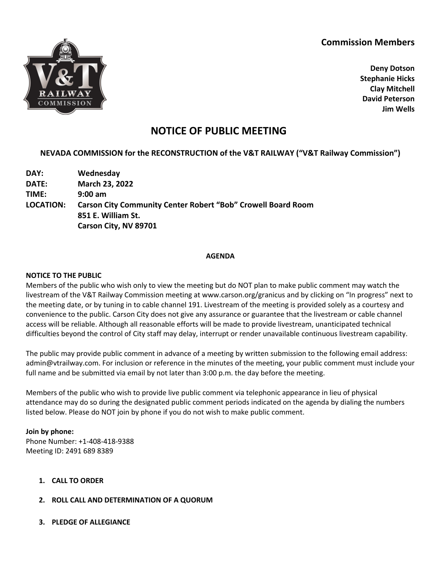## **Commission Members**



**Deny Dotson Stephanie Hicks Clay Mitchell David Peterson Jim Wells**

# **NOTICE OF PUBLIC MEETING**

## **NEVADA COMMISSION for the RECONSTRUCTION of the V&T RAILWAY ("V&T Railway Commission")**

**DAY: Wednesday DATE: March 23, 2022 TIME: 9:00 am LOCATION: Carson City Community Center Robert "Bob" Crowell Board Room 851 E. William St. Carson City, NV 89701**

#### **AGENDA**

#### **NOTICE TO THE PUBLIC**

Members of the public who wish only to view the meeting but do NOT plan to make public comment may watch the livestream of the V&T Railway Commission meeting at www.carson.org/granicus and by clicking on "In progress" next to the meeting date, or by tuning in to cable channel 191. Livestream of the meeting is provided solely as a courtesy and convenience to the public. Carson City does not give any assurance or guarantee that the livestream or cable channel access will be reliable. Although all reasonable efforts will be made to provide livestream, unanticipated technical difficulties beyond the control of City staff may delay, interrupt or render unavailable continuous livestream capability.

The public may provide public comment in advance of a meeting by written submission to the following email address: admin@vtrailway.com. For inclusion or reference in the minutes of the meeting, your public comment must include your full name and be submitted via email by not later than 3:00 p.m. the day before the meeting.

Members of the public who wish to provide live public comment via telephonic appearance in lieu of physical attendance may do so during the designated public comment periods indicated on the agenda by dialing the numbers listed below. Please do NOT join by phone if you do not wish to make public comment.

**Join by phone:** Phone Number: +1-408-418-9388 Meeting ID: 2491 689 8389

- **1. CALL TO ORDER**
- **2. ROLL CALL AND DETERMINATION OF A QUORUM**
- **3. PLEDGE OF ALLEGIANCE**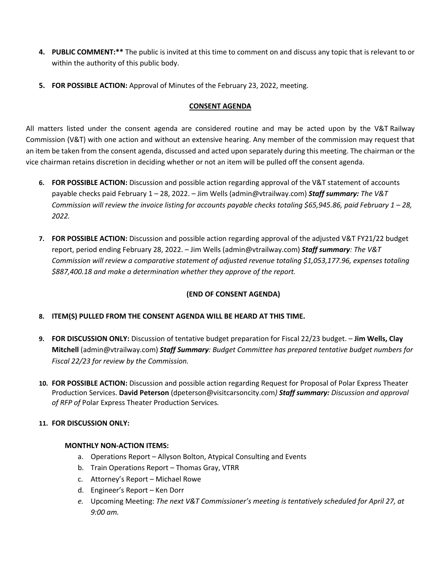- **4. PUBLIC COMMENT:\*\*** The public is invited at this time to comment on and discuss any topic that is relevant to or within the authority of this public body.
- **5. FOR POSSIBLE ACTION:** Approval of Minutes of the February 23, 2022, meeting.

#### **CONSENT AGENDA**

All matters listed under the consent agenda are considered routine and may be acted upon by the V&T Railway Commission (V&T) with one action and without an extensive hearing. Any member of the commission may request that an item be taken from the consent agenda, discussed and acted upon separately during this meeting. The chairman or the vice chairman retains discretion in deciding whether or not an item will be pulled off the consent agenda.

- **6. FOR POSSIBLE ACTION:** Discussion and possible action regarding approval of the V&T statement of accounts payable checks paid February 1 – 28, 2022. – Jim Wells (admin@vtrailway.com) *Staff summary: The V&T Commission will review the invoice listing for accounts payable checks totaling \$65,945.86, paid February 1 – 28, 2022.*
- **7. FOR POSSIBLE ACTION:** Discussion and possible action regarding approval of the adjusted V&T FY21/22 budget report, period ending February 28, 2022. – Jim Wells (admin@vtrailway.com) *Staff summary: The V&T Commission will review a comparative statement of adjusted revenue totaling \$1,053,177.96, expenses totaling \$887,400.18 and make a determination whether they approve of the report.*

## **(END OF CONSENT AGENDA)**

## **8. ITEM(S) PULLED FROM THE CONSENT AGENDA WILL BE HEARD AT THIS TIME.**

- **9. FOR DISCUSSION ONLY:** Discussion of tentative budget preparation for Fiscal 22/23 budget. **Jim Wells, Clay Mitchell** (admin@vtrailway.com) *Staff Summary: Budget Committee has prepared tentative budget numbers for Fiscal 22/23 for review by the Commission.*
- **10. FOR POSSIBLE ACTION:** Discussion and possible action regarding Request for Proposal of Polar Express Theater Production Services. **David Peterson** (dpeterson@visitcarsoncity.com*) Staff summary: Discussion and approval of RFP of* Polar Express Theater Production Services*.*

## **11. FOR DISCUSSION ONLY:**

#### **MONTHLY NON-ACTION ITEMS:**

- a. Operations Report Allyson Bolton, Atypical Consulting and Events
- b. Train Operations Report Thomas Gray, VTRR
- c. Attorney's Report Michael Rowe
- d. Engineer's Report Ken Dorr
- *e.* Upcoming Meeting: *The next V&T Commissioner's meeting is tentatively scheduled for April 27, at 9:00 am.*